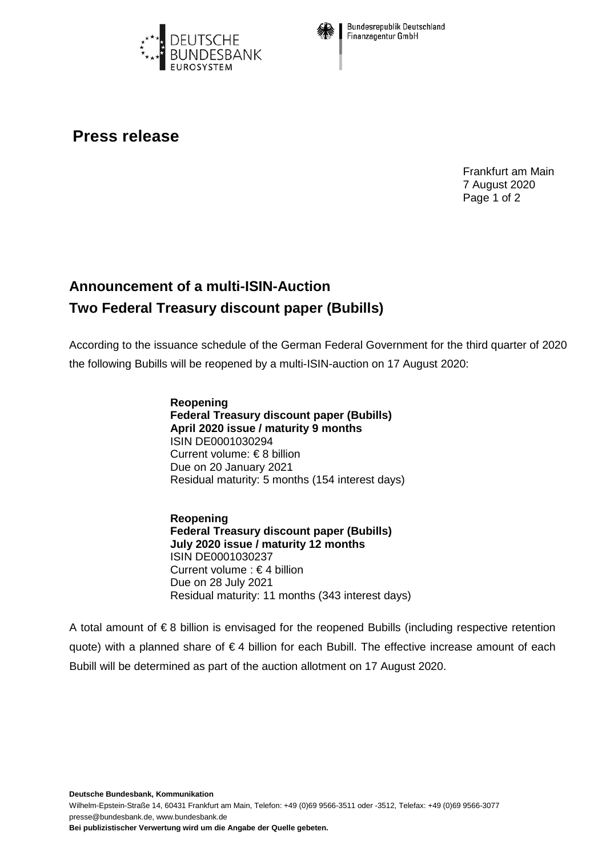



**Bundesrepublik Deutschland** Finanzagentur GmbH

## **Press release**

Frankfurt am Main 7 August 2020 Page 1 of 2

## **Announcement of a multi-ISIN-Auction Two Federal Treasury discount paper (Bubills)**

According to the issuance schedule of the German Federal Government for the third quarter of 2020 the following Bubills will be reopened by a multi-ISIN-auction on 17 August 2020:

> **Reopening Federal Treasury discount paper (Bubills) April 2020 issue / maturity 9 months** ISIN DE0001030294 Current volume: € 8 billion Due on 20 January 2021 Residual maturity: 5 months (154 interest days)

**Reopening Federal Treasury discount paper (Bubills) July 2020 issue / maturity 12 months** ISIN DE0001030237 Current volume : € 4 billion Due on 28 July 2021 Residual maturity: 11 months (343 interest days)

A total amount of € 8 billion is envisaged for the reopened Bubills (including respective retention quote) with a planned share of € 4 billion for each Bubill. The effective increase amount of each Bubill will be determined as part of the auction allotment on 17 August 2020.